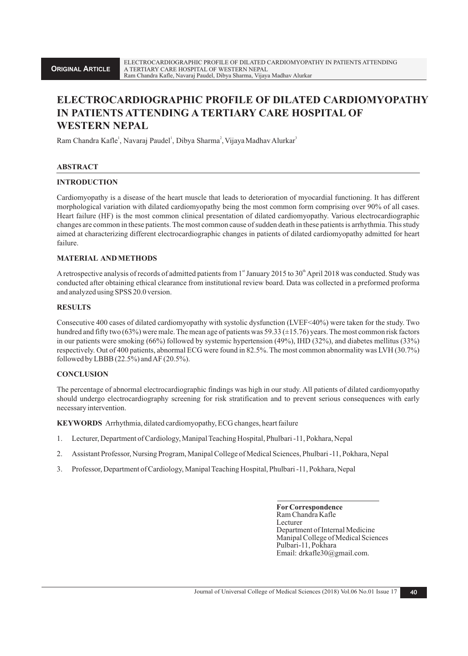# **ELECTROCARDIOGRAPHIC PROFILE OF DILATED CARDIOMYOPATHY IN PATIENTS ATTENDING A TERTIARY CARE HOSPITAL OF WESTERN NEPAL**

Ram Chandra Kafle<sup>1</sup>, Navaraj Paudel<sup>1</sup>, Dibya Sharma<sup>2</sup>, Vijaya Madhav Alurkar<sup>3</sup>

# **ABSTRACT**

# **INTRODUCTION**

Cardiomyopathy is a disease of the heart muscle that leads to deterioration of myocardial functioning. It has different morphological variation with dilated cardiomyopathy being the most common form comprising over 90% of all cases. Heart failure (HF) is the most common clinical presentation of dilated cardiomyopathy. Various electrocardiographic changes are common in these patients. The most common cause of sudden death in these patients is arrhythmia. This study aimed at characterizing different electrocardiographic changes in patients of dilated cardiomyopathy admitted for heart failure.

# **MATERIAL AND METHODS**

A retrospective analysis of records of admitted patients from  $1<sup>st</sup>$  January 2015 to 30<sup>th</sup> April 2018 was conducted. Study was conducted after obtaining ethical clearance from institutional review board. Data was collected in a preformed proforma and analyzed using SPSS 20.0 version.

## **RESULTS**

Consecutive 400 cases of dilated cardiomyopathy with systolic dysfunction (LVEF<40%) were taken for the study. Two hundred and fifty two (63%) were male. The mean age of patients was 59.33 (±15.76) years. The most common risk factors in our patients were smoking (66%) followed by systemic hypertension (49%), IHD (32%), and diabetes mellitus (33%) respectively. Out of 400 patients, abnormal ECG were found in 82.5%. The most common abnormality was LVH (30.7%) followed by LBBB (22.5%) and AF (20.5%).

#### **CONCLUSION**

The percentage of abnormal electrocardiographic findings was high in our study. All patients of dilated cardiomyopathy should undergo electrocardiography screening for risk stratification and to prevent serious consequences with early necessary intervention.

**KEYWORDS** Arrhythmia, dilated cardiomyopathy, ECG changes, heart failure

- 1. Lecturer, Department of Cardiology, Manipal Teaching Hospital, Phulbari -11, Pokhara, Nepal
- 2. Assistant Professor, Nursing Program, Manipal College of Medical Sciences, Phulbari -11, Pokhara, Nepal
- 3. Professor, Department of Cardiology, Manipal Teaching Hospital, Phulbari -11, Pokhara, Nepal

 **ForCorrespondence** Ram Chandra Kafle Lecturer Department of Internal Medicine Manipal College of Medical Sciences Pulbari-11, Pokhara Email: drkafle30@gmail.com.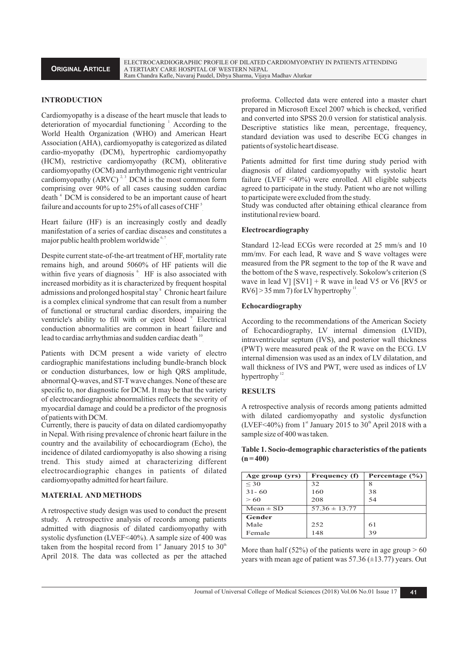#### **INTRODUCTION**

Cardiomyopathy is a disease of the heart muscle that leads to deterioration of myocardial functioning <sup>1</sup> According to the World Health Organization (WHO) and American Heart Association (AHA), cardiomyopathy is categorized as dilated cardio-myopathy (DCM), hypertrophic cardiomyopathy (HCM), restrictive cardiomyopathy (RCM), obliterative cardiomyopathy (OCM) and arrhythmogenic right ventricular cardiomyopathy  $(ARVC)^{2,3}$  DCM is the most common form comprising over 90% of all cases causing sudden cardiac death<sup>4</sup> DCM is considered to be an important cause of heart failure and accounts for up to 25% of all cases of CHF<sup>5</sup>

Heart failure (HF) is an increasingly costly and deadly manifestation of a series of cardiac diseases and constitutes a major public health problem worldwide  $67$ 

Despite current state-of-the-art treatment of HF, mortality rate remains high, and around 5060% of HF patients will die within five years of diagnosis  $6$  HF is also associated with increased morbidity as it is characterized by frequent hospital admissions and prolonged hospital stay  $^8$  Chronic heart failure is a complex clinical syndrome that can result from a number of functional or structural cardiac disorders, impairing the ventricle's ability to fill with or eject blood <sup>9</sup> Electrical conduction abnormalities are common in heart failure and lead to cardiac arrhythmias and sudden cardiac death  $\frac{10}{10}$ 

Patients with DCM present a wide variety of electro cardiographic manifestations including bundle-branch block or conduction disturbances, low or high QRS amplitude, abnormal Q-waves, and ST-Twave changes. None of these are specific to, nor diagnostic for DCM. It may be that the variety of electrocardiographic abnormalities reflects the severity of myocardial damage and could be a predictor of the prognosis of patients with DCM.

Currently, there is paucity of data on dilated cardiomyopathy in Nepal. With rising prevalence of chronic heart failure in the country and the availability of echocardiogram (Echo), the incidence of dilated cardiomyopathy is also showing a rising trend. This study aimed at characterizing different electrocardiographic changes in patients of dilated cardiomyopathy admitted for heart failure.

#### **MATERIAL AND METHODS**

A retrospective study design was used to conduct the present study. A retrospective analysis of records among patients admitted with diagnosis of dilated cardiomyopathy with systolic dysfunction (LVEF<40%). A sample size of 400 was taken from the hospital record from  $1<sup>st</sup>$  January 2015 to 30<sup>th</sup> April 2018. The data was collected as per the attached proforma. Collected data were entered into a master chart prepared in Microsoft Excel 2007 which is checked, verified and converted into SPSS 20.0 version for statistical analysis. Descriptive statistics like mean, percentage, frequency, standard deviation was used to describe ECG changes in patients of systolic heart disease.

Patients admitted for first time during study period with diagnosis of dilated cardiomyopathy with systolic heart failure (LVEF <40%) were enrolled. All eligible subjects agreed to participate in the study. Patient who are not willing to participate were excluded from the study.

Study was conducted after obtaining ethical clearance from institutional review board.

#### **Electrocardiography**

Standard 12-lead ECGs were recorded at 25 mm/s and 10 mm/mv. For each lead, R wave and S wave voltages were measured from the PR segment to the top of the R wave and the bottom of the S wave, respectively.Sokolow's criterion (S wave in lead V]  $[SV1] + R$  wave in lead V5 or V6  $[RV5$  or  $|RV6| > 35$  mm 7) for LV hypertrophy  $\frac{11}{10}$ 

#### **Echocardiography**

According to the recommendations of the American Society of Echocardiography, LV internal dimension (LVID), intraventricular septum (IVS), and posterior wall thickness (PWT) were measured peak of the R wave on the ECG. LV internal dimension was used as an index of LV dilatation, and wall thickness of IVS and PWT, were used as indices of LV hypertrophy $12$ 

#### **RESULTS**

A retrospective analysis of records among patients admitted with dilated cardiomyopathy and systolic dysfunction (LVEF<40%) from 1<sup>st</sup> January 2015 to 30<sup>th</sup> April 2018 with a sample size of 400 was taken.

## **Table 1. Socio-demographic characteristics of the patients (n = 400)**

| Age group (yrs) | Frequency (f)     | Percentage $(\% )$ |
|-----------------|-------------------|--------------------|
| $\leq 30$       | 32                | 8                  |
| $31 - 60$       | 160               | 38                 |
| >60             | 208               | 54                 |
| $Mean \pm SD$   | $57.36 \pm 13.77$ |                    |
| Gender          |                   |                    |
| Male            | 252               | 61                 |
| Female          | 148               | 39                 |

More than half (52%) of the patients were in age group  $> 60$ years with mean age of patient was  $57.36 \ (\pm 13.77)$  years. Out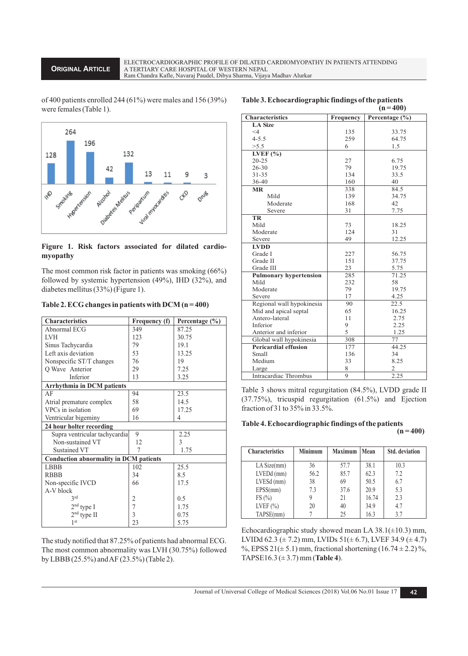**ORIGINAL ARTICLE**

of 400 patients enrolled 244 (61%) were males and 156 (39%) were females (Table 1).



# **Figure 1. Risk factors associated for dilated cardiomyopathy**

The most common risk factor in patients was smoking (66%) followed by systemic hypertension (49%), IHD (32%), and diabetes mellitus (33%) (Figure 1).

|  | Table 2. ECG changes in patients with DCM $(n=400)$ |  |  |  |  |  |
|--|-----------------------------------------------------|--|--|--|--|--|
|--|-----------------------------------------------------|--|--|--|--|--|

| <b>Characteristics</b>                        | Frequency (f) | Percentage (%) |  |
|-----------------------------------------------|---------------|----------------|--|
| Abnormal ECG                                  | 349           | 87.25          |  |
| <b>LVH</b>                                    | 123           | 30.75          |  |
| Sinus Tachycardia                             | 79            | 19.1           |  |
| Left axis deviation                           | 53            | 13.25          |  |
| Nonspecific ST/T changes                      | 76            | 19             |  |
| Q Wave Anterior                               | 29            | 7.25           |  |
| Inferior                                      | 13            | 3.25           |  |
| Arrhythmia in DCM patients                    |               |                |  |
| AF                                            | 94            | 23.5           |  |
| Atrial premature complex                      | 58            | 14.5           |  |
| VPCs in isolation                             | 69            | 17.25          |  |
| Ventricular bigeminy                          | 16            | 4              |  |
| 24 hour holter recording                      |               |                |  |
| Supra ventricular tachycardia                 | 9             | 2.25           |  |
| Non-sustained VT                              | 12            | $\mathcal{E}$  |  |
| <b>Sustained VT</b>                           | 7             | 1.75           |  |
| <b>Conduction abnormality in DCM patients</b> |               |                |  |
| <b>LBBB</b>                                   | 102           | 25.5           |  |
| <b>RBBB</b>                                   | 34            | 8.5            |  |
| Non-specific IVCD                             | 66            | 17.5           |  |
| A-V block                                     |               |                |  |
| 2rd                                           | 2             | 0.5            |  |
| $2nd$ type I                                  | 7             | 1.75           |  |
| 2 <sup>nd</sup> type II                       | 3             | 0.75           |  |
| 1 <sup>st</sup>                               | 23            | 5.75           |  |

The study notified that 87.25% of patients had abnormal ECG. The most common abnormality was LVH (30.75%) followed by LBBB (25.5%) and AF (23.5%) (Table 2).

|                               |                | $(n=400)$       |
|-------------------------------|----------------|-----------------|
| <b>Characteristics</b>        | Frequency      | Percentage (%)  |
| <b>LA Size</b>                |                |                 |
| $\leq 4$                      | 135            | 33.75           |
| $4 - 5.5$                     | 259            | 64.75           |
| >5.5                          | 6              | 1.5             |
| LVEF $(% )$                   |                |                 |
| $20 - 25$                     | 27             | 6.75            |
| $26 - 30$                     | 79             | 19.75           |
| $31 - 35$                     | 134            | 33.5            |
| 36-40                         | 160            | 40              |
| <b>MR</b>                     | 338            | 84.5            |
| Mild                          | 139            | 34.75           |
| Moderate                      | 168            | 42              |
| Severe                        | 31             | 7.75            |
| TR                            |                |                 |
| Mild                          | 73             | 18.25           |
| Moderate                      | 124            | 31              |
| Severe                        | 49             | 12.25           |
| <b>LVDD</b>                   |                |                 |
| Grade I                       | 227            | 56.75           |
| Grade II                      | 151            | 37.75           |
| Grade III                     | 23             | 5.75            |
| <b>Pulmonary hypertension</b> | 285            | 71.25           |
| Mild                          | 232            | 58              |
| Moderate                      | 79             | 19.75           |
| Severe                        | 17             | 4.25            |
| Regional wall hypokinesia     | 90             | 22.5            |
| Mid and apical septal         | 65             | 16.25           |
| Antero-lateral                | 11             | 2.75            |
| Inferior                      | 9              | 2.25            |
| Anterior and inferior         | 5              | 1.25            |
| Global wall hypokinesia       | 308            | $\overline{7}7$ |
| <b>Pericardial effusion</b>   | 177            | 44.25           |
| <b>Small</b>                  | 136            | 34              |
| Medium                        | 33             | 8.25            |
| Large                         | 8              | 2               |
| Intracardiac Thrombus         | $\overline{Q}$ | 2.25            |

**Table 3. Echocardiographic findings of the patients** 

Table 3 shows mitral regurgitation (84.5%), LVDD grade II (37.75%), tricuspid regurgitation (61.5%) and Ejection fraction of 31 to 35% in 33.5%.

## **Table 4. Echocardiographic findings of the patients**   $(n = 400)$

| <b>Characteristics</b> | <b>Minimum</b> | <b>Maximum</b> | Mean  | <b>Std.</b> deviation |
|------------------------|----------------|----------------|-------|-----------------------|
| LA Size(mm)            | 36             | 57.7           | 38.1  | 10.3                  |
| LVEDd (mm)             | 56.2           | 85.7           | 62.3  | 7.2                   |
| $LVESd$ (mm)           | 38             | 69             | 50.5  | 6.7                   |
| EPSS(mm)               | 7.3            | 37.6           | 20.9  | 5.3                   |
| FS(%)                  |                | 21             | 16.74 | 2.3                   |
| LVEF $(\%)$            | 20             | 40             | 34.9  | 4.7                   |
| TAPSE(mm)              |                | 25             | 16.3  | 3.7                   |

Echocardiographic study showed mean LA  $38.1(\pm 10.3)$  mm, LVIDd 62.3 ( $\pm$  7.2) mm, LVIDs 51( $\pm$  6.7), LVEF 34.9 ( $\pm$  4.7) %, EPSS  $21(\pm 5.1)$  mm, fractional shortening  $(16.74 \pm 2.2)$ %, TAPSE16.3 (± 3.7) mm (**Table 4**).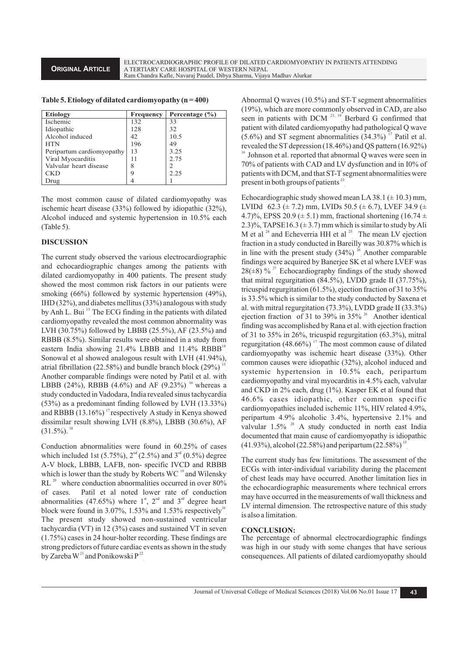**ORIGINAL ARTICLE**

| <b>Etiology</b>           | <b>Frequency</b> | Percentage $(\% )$ |
|---------------------------|------------------|--------------------|
| <b>Ischemic</b>           | 132              | 33                 |
| Idiopathic                | 128              | 32                 |
| Alcohol induced           | 42               | 10.5               |
| <b>HTN</b>                | 196              | 49                 |
| Peripartum cardiomyopathy | 13               | 3.25               |
| Viral Myocarditis         | 11               | 2.75               |
| Valvular heart disease    | 8                |                    |
| CKD                       | 9                | 2.25               |
| Drug                      |                  |                    |

**Table 5. Etiology of dilated cardiomyopathy (n = 400)**

The most common cause of dilated cardiomyopathy was ischemic heart disease (33%) followed by idiopathic (32%), Alcohol induced and systemic hypertension in 10.5% each (Table 5).

## **DISCUSSION**

The current study observed the various electrocardiographic and echocardiographic changes among the patients with dilated cardiomyopathy in 400 patients. The present study showed the most common risk factors in our patients were smoking (66%) followed by systemic hypertension (49%), IHD (32%), and diabetes mellitus (33%) analogous with study by Anh L. Bui <sup>13</sup> The ECG finding in the patients with dilated cardiomyopathy revealed the most common abnormality was LVH (30.75%) followed by LBBB (25.5%), AF (23.5%) and RBBB (8.5%). Similar results were obtained in a study from eastern India showing  $21.4\%$  LBBB and  $11.4\%$  RBBB<sup>14</sup> Sonowal et al showed analogous result with LVH (41.94%), atrial fibrillation (22.58%) and bundle branch block (29%)  $^1$ Another comparable findings were noted by Patil et al. with LBBB (24%), RBBB (4.6%) and AF (9.23%) <sup>16</sup> whereas a study conducted in Vadodara, India revealed sinus tachycardia (53%) as a predominant finding followed by LVH (13.33%) and RBBB  $(13.16\%)$ <sup>17</sup> respectively A study in Kenya showed dissimilar result showing LVH (8.8%), LBBB (30.6%), AF  $(31.5\%)$ . <sup>18</sup>

Conduction abnormalities were found in 60.25% of cases which included 1st (5.75%),  $2^{nd}$  (2.5%) and  $3^{rd}$  (0.5%) degree A-V block, LBBB, LAFB, non- specific IVCD and RBBB which is lower than the study by Roberts WC  $19$  and Wilensky  $RL<sup>20</sup>$  where conduction abnormalities occurred in over 80% of cases. Patil et al noted lower rate of conduction abnormalities (47.65%) where  $1<sup>st</sup>$ ,  $2<sup>nd</sup>$  and  $3<sup>rd</sup>$  degree heart block were found in 3.07%, 1.53% and 1.53% respectively<sup>16</sup> The present study showed non-sustained ventricular tachycardia (VT) in 12 (3%) cases and sustained VT in seven (1.75%) cases in 24 hour-holter recording. These findings are strong predictors of future cardiac events as shown in the study by Zareba  $W^{21}$  and Ponikowski P<sup>22</sup>

Abnormal Q waves (10.5%) and ST-T segment abnormalities (19%), which are more commonly observed in CAD, are also seen in patients with DCM  $^{23, 19}$  Berbard G confirmed that patient with dilated cardiomyopathy had pathological Q wave  $(5.6\%)$  and ST segment abnormalities  $(34.3\%)$ <sup>17</sup> Patil et al. revealed the ST depression  $(18.46\%)$  and OS pattern  $(16.92\%)$ <sup>16</sup> Johnson et al. reported that abnormal Q waves were seen in 70% of patients with CAD and LV dysfunction and in I0% of patients with DCM, and that ST-T segment abnormalities were present in both groups of patients  $23$ 

Echocardiographic study showed mean LA 38.1 ( $\pm$  10.3) mm, LVIDd 62.3 ( $\pm$  7.2) mm, LVIDs 50.5 ( $\pm$  6.7), LVEF 34.9 ( $\pm$ 4.7)%, EPSS 20.9 ( $\pm$  5.1) mm, fractional shortening (16.74  $\pm$ 2.3)%, TAPSE16.3 ( $\pm$  3.7) mm which is similar to study by Ali M et al  $^{24}$  and Echeverria HH et al  $^{25}$  The mean LV ejection fraction in a study conducted in Bareilly was 30.87% which is in line with the present study  $(34\%)$ <sup>26</sup> Another comparable findings were acquired by Banerjee SK et al where LVEF was 28( $\pm$ 8) %<sup>27</sup> Echocardiography findings of the study showed that mitral regurgitation (84.5%), LVDD grade II (37.75%), tricuspid regurgitation (61.5%), ejection fraction of 31 to 35% is 33.5% which is similar to the study conducted by Saxena et al. with mitral regurgitation (73.3%), LVDD grade II (33.3%) ejection fraction of 31 to 39% in 35%  $^{26}$  Another identical finding was accomplished by Rana et al. with ejection fraction of 31 to 35% in 26%, tricuspid regurgitation (63.3%), mitral regurgitation (48.66%)<sup>17</sup> The most common cause of dilated cardiomyopathy was ischemic heart disease (33%). Other common causes were idiopathic (32%), alcohol induced and systemic hypertension in 10.5% each, peripartum cardiomyopathy and viral myocarditis in 4.5% each, valvular and CKD in 2% each, drug (1%). Kasper EK et al found that 46.6% cases idiopathic, other common specific cardiomyopathies included ischemic 11%, HIV related 4.9%, peripartum 4.9% alcoholic 3.4%, hypertensive 2.1% and valvular  $1.5\%$ <sup>28</sup> A study conducted in north east India documented that main cause of cardiomyopathy is idiopathic  $(41.93\%)$ , alcohol (22.58%) and peripartum (22.58%)<sup>11</sup>

The current study has few limitations. The assessment of the ECGs with inter-individual variability during the placement of chest leads may have occurred. Another limitation lies in the echocardiographic measurements where technical errors may have occurred in the measurements of wall thickness and LV internal dimension. The retrospective nature of this study is also a limitation.

#### **CONCLUSION:**

The percentage of abnormal electrocardiographic findings was high in our study with some changes that have serious consequences. All patients of dilated cardiomyopathy should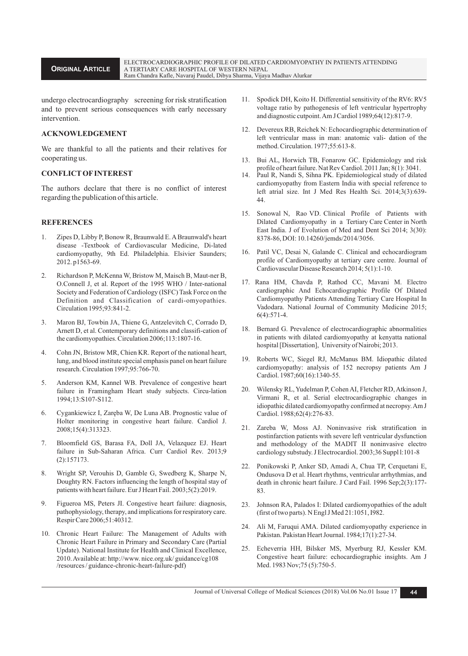ELECTROCARDIOGRAPHIC PROFILE OF DILATED CARDIOMYOPATHY IN PATIENTS ATTENDING A TERTIARY CARE HOSPITAL OF WESTERN NEPAL Ram Chandra Kafle, Navaraj Paudel, Dibya Sharma, Vijaya Madhav Alurkar

undergo electrocardiography screening for risk stratification and to prevent serious consequences with early necessary intervention.

## **ACKNOWLEDGEMENT**

**ORIGINAL ARTICLE**

We are thankful to all the patients and their relatives for cooperating us.

# **CONFLICTOFINTEREST**

The authors declare that there is no conflict of interest regarding the publication of this article.

#### **REFERENCES**

- 1. Zipes D, Libby P, Bonow R, Braunwald E. ABraunwald's heart disease -Textbook of Cardiovascular Medicine, Di-lated cardiomyopathy, 9th Ed. Philadelphia. Elsivier Saunders; 2012. p1563-69.
- 2. Richardson P, McKenna W, Bristow M, Maisch B, Maut-ner B, O.Connell J, et al. Report of the 1995 WHO / Inter-national Society and Federation of Cardiology (ISFC) Task Force on the Definition and Classification of cardi-omyopathies. Circulation 1995;93:841-2.
- 3. Maron BJ, Towbin JA, Thiene G, Antzelevitch C, Corrado D, Arnett D, et al. Contemporary definitions and classifi-cation of the cardiomyopathies. Circulation 2006;113:1807-16.
- 4. Cohn JN, Bristow MR, Chien KR. Report of the national heart, lung, and blood institute special emphasis panel on heart failure research. Circulation 1997;95:766-70.
- 5. Anderson KM, Kannel WB. Prevalence of congestive heart failure in Framingham Heart study subjects. Circu-lation 1994;13:S107-S112.
- 6. Cygankiewicz I, Zaręba W, De Luna AB. Prognostic value of Holter monitoring in congestive heart failure. Cardiol J. 2008;15(4):313323.
- 7. Bloomfield GS, Barasa FA, Doll JA, Velazquez EJ. Heart failure in Sub-Saharan Africa. Curr Cardiol Rev. 2013;9 (2):157173.
- 8. Wright SP, Verouhis D, Gamble G, Swedberg K, Sharpe N, Doughty RN. Factors influencing the length of hospital stay of patients with heart failure. Eur J Heart Fail. 2003;5(2):2019.
- 9. Figueroa MS, Peters JI. Congestive heart failure: diagnosis, pathophysiology, therapy, and implications for respiratory care. Respir Care 2006;51:40312.
- 10. Chronic Heart Failure: The Management of Adults with Chronic Heart Failure in Primary and Secondary Care (Partial Update). National Institute for Health and Clinical Excellence, 2010. Available at: http://www. nice.org.uk/ guidance/cg108 /resources / guidance-chronic-heart-failure-pdf)
- 11. Spodick DH, Koito H. Differential sensitivity of the RV6: RV5 voltage ratio by pathogenesis of left ventricular hypertrophy and diagnostic cutpoint. Am J Cardiol 1989;64(12):817-9.
- 12. Devereux RB, Reichek N: Echocardiographic determination of left ventricular mass in man: anatomic vali- dation of the method. Circulation. 1977;55:613-8.
- 13. Bui AL, Horwich TB, Fonarow GC. Epidemiology and risk profile of heart failure. Nat Rev Cardiol. 2011 Jan; 8(1): 3041.
- 14. Paul R, Nandi S, Sihna PK. Epidemiological study of dilated cardiomyopathy from Eastern India with special reference to left atrial size. Int J Med Res Health Sci. 2014;3(3):639- 44.
- 15. Sonowal N, Rao VD. Clinical Profile of Patients with Dilated Cardiomyopathy in a Tertiary Care Center in North East India. J of Evolution of Med and Dent Sci 2014; 3(30): 8378-86, DOI: 10.14260/jemds/2014/3056.
- 16. Patil VC, Desai N, Galande C. Clinical and echocardiogram profile of Cardiomyopathy at tertiary care centre. Journal of Cardiovascular Disease Research 2014; 5(1):1-10.
- 17. Rana HM, Chavda P, Rathod CC, Mavani M. Electro cardiographic And Echocardiographic Profile Of Dilated Cardiomyopathy Patients Attending Tertiary Care Hospital In Vadodara. National Journal of Community Medicine 2015; 6(4):571-4.
- 18. Bernard G. Prevalence of electrocardiographic abnormalities in patients with dilated cardiomyopathy at kenyatta national hospital [Dissertation], University of Nairobi; 2013.
- 19. Roberts WC, Siegel RJ, McManus BM. Idiopathic dilated cardiomyopathy: analysis of 152 necropsy patients Am J Cardiol. 1987;60(16):1340-55.
- 20. Wilensky RL, Yudelman P, Cohen AI, Fletcher RD, Atkinson J, Virmani R, et al. Serial electrocardiographic changes in idiopathic dilated cardiomyopathy confirmed at necropsy. Am J Cardiol. 1988;62(4):276-83.
- 21. Zareba W, Moss AJ. Noninvasive risk stratification in postinfarction patients with severe left ventricular dysfunction and methodology of the MADIT II noninvasive electro cardiology substudy. J Electrocardiol. 2003;36 Suppl l:101-8
- 22. Ponikowski P, Anker SD, Amadi A, Chua TP, Cerquetani E, Ondusova D et al. Heart rhythms, ventricular arrhythmias, and death in chronic heart failure. J Card Fail. 1996 Sep;2(3):177- 83.
- 23. Johnson RA, Palados I: Dilated cardiomyopathies of the adult (first of two parts). N Engl J Med 21:1051, I982.
- 24. Ali M, Faruqui AMA. Dilated cardiomyopathy experience in Pakistan. Pakistan Heart Journal. 1984;17(1):27-34.
- 25. Echeverria HH, Bilsker MS, Myerburg RJ, Kessler KM. Congestive heart failure: echocardiographic insights. Am J Med. 1983 Nov;75 (5):750-5.